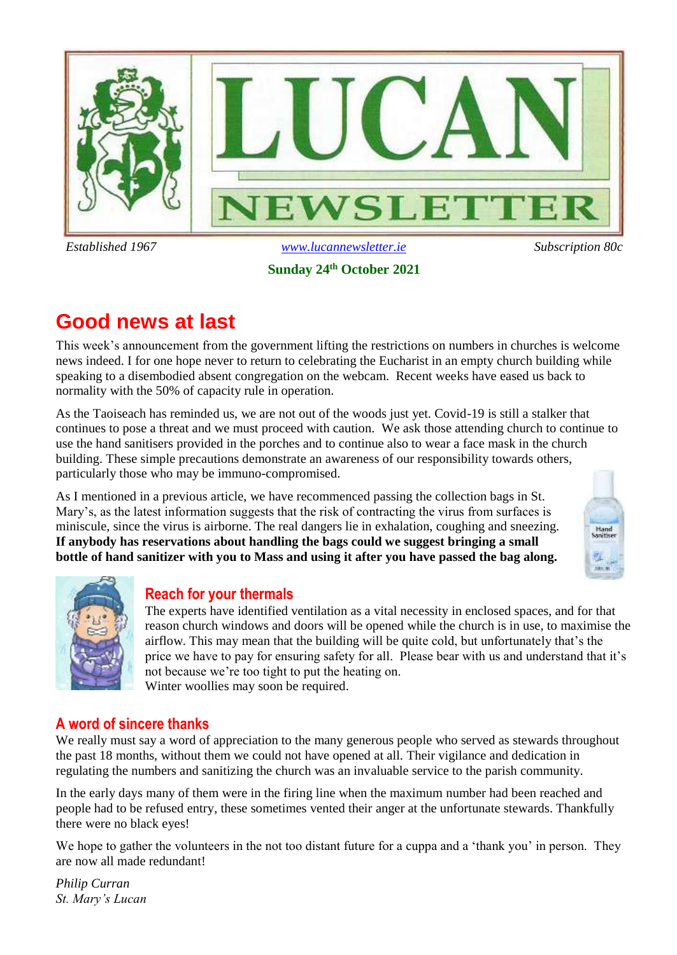

### **Sunday 24th October 2021**

## **Good news at last**

This week's announcement from the government lifting the restrictions on numbers in churches is welcome news indeed. I for one hope never to return to celebrating the Eucharist in an empty church building while speaking to a disembodied absent congregation on the webcam. Recent weeks have eased us back to normality with the 50% of capacity rule in operation.

As the Taoiseach has reminded us, we are not out of the woods just yet. Covid-19 is still a stalker that continues to pose a threat and we must proceed with caution. We ask those attending church to continue to use the hand sanitisers provided in the porches and to continue also to wear a face mask in the church building. These simple precautions demonstrate an awareness of our responsibility towards others, particularly those who may be immuno-compromised.

As I mentioned in a previous article, we have recommenced passing the collection bags in St. Mary's, as the latest information suggests that the risk of contracting the virus from surfaces is miniscule, since the virus is airborne. The real dangers lie in exhalation, coughing and sneezing. **If anybody has reservations about handling the bags could we suggest bringing a small bottle of hand sanitizer with you to Mass and using it after you have passed the bag along.**





### **Reach for your thermals**

The experts have identified ventilation as a vital necessity in enclosed spaces, and for that reason church windows and doors will be opened while the church is in use, to maximise the airflow. This may mean that the building will be quite cold, but unfortunately that's the price we have to pay for ensuring safety for all. Please bear with us and understand that it's not because we're too tight to put the heating on. Winter woollies may soon be required.

### **A word of sincere thanks**

We really must say a word of appreciation to the many generous people who served as stewards throughout the past 18 months, without them we could not have opened at all. Their vigilance and dedication in regulating the numbers and sanitizing the church was an invaluable service to the parish community.

In the early days many of them were in the firing line when the maximum number had been reached and people had to be refused entry, these sometimes vented their anger at the unfortunate stewards. Thankfully there were no black eyes!

We hope to gather the volunteers in the not too distant future for a cuppa and a 'thank you' in person. They are now all made redundant!

*Philip Curran St. Mary's Lucan*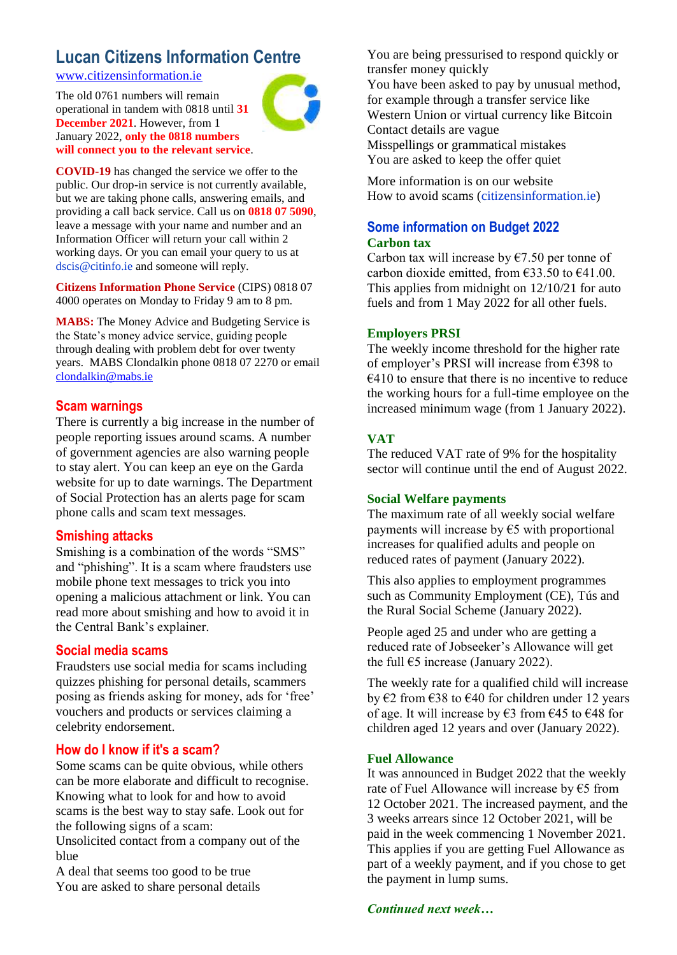### **Lucan Citizens Information Centre**

[www.citizensinformation.ie](http://www.citizensinformation.ie/)

The old 0761 numbers will remain operational in tandem with 0818 until **31 December 2021**. However, from 1 January 2022, **only the 0818 numbers will connect you to the relevant service**.



**COVID-19** has changed the service we offer to the public. Our drop-in service is not currently available, but we are taking phone calls, answering emails, and providing a call back service. Call us on **0818 07 5090**, leave a message with your name and number and an Information Officer will return your call within 2 working days. Or you can email your query to us at dscis@citinfo.ie and someone will reply.

**Citizens Information Phone Service** (CIPS) 0818 07 4000 operates on Monday to Friday 9 am to 8 pm.

**MABS:** The Money Advice and Budgeting Service is the State's money advice service, guiding people through dealing with problem debt for over twenty years. MABS Clondalkin phone 0818 07 2270 or email [clondalkin@mabs.ie](mailto:clondalkin@mabs.ie)

### **Scam warnings**

There is currently a big increase in the number of people reporting issues around scams. A number of government agencies are also warning people to stay alert. You can keep an eye on the Garda website for up to date warnings. The Department of Social Protection has an alerts page for scam phone calls and scam text messages.

### **Smishing attacks**

Smishing is a combination of the words "SMS" and "phishing". It is a scam where fraudsters use mobile phone text messages to trick you into opening a malicious attachment or link. You can read more about smishing and how to avoid it in the Central Bank's explainer.

### **Social media scams**

Fraudsters use social media for scams including quizzes phishing for personal details, scammers posing as friends asking for money, ads for 'free' vouchers and products or services claiming a celebrity endorsement.

### **How do I know if it's a scam?**

Some scams can be quite obvious, while others can be more elaborate and difficult to recognise. Knowing what to look for and how to avoid scams is the best way to stay safe. Look out for the following signs of a scam:

Unsolicited contact from a company out of the blue

A deal that seems too good to be true You are asked to share personal details

You are being pressurised to respond quickly or transfer money quickly You have been asked to pay by unusual method, for example through a transfer service like Western Union or virtual currency like Bitcoin Contact details are vague Misspellings or grammatical mistakes You are asked to keep the offer quiet

More information is on our website How to avoid scams (citizensinformation.ie)

### **Some information on Budget 2022 Carbon tax**

Carbon tax will increase by  $\epsilon$ 7.50 per tonne of carbon dioxide emitted, from  $\epsilon$ 33.50 to  $\epsilon$ 41.00. This applies from midnight on 12/10/21 for auto fuels and from 1 May 2022 for all other fuels.

### **Employers PRSI**

The weekly income threshold for the higher rate of employer's PRSI will increase from €398 to  $€410$  to ensure that there is no incentive to reduce the working hours for a full-time employee on the increased minimum wage (from 1 January 2022).

### **VAT**

The reduced VAT rate of 9% for the hospitality sector will continue until the end of August 2022.

### **Social Welfare payments**

The maximum rate of all weekly social welfare payments will increase by  $\epsilon$ 5 with proportional increases for qualified adults and people on reduced rates of payment (January 2022).

This also applies to employment programmes such as Community Employment (CE), Tús and the Rural Social Scheme (January 2022).

People aged 25 and under who are getting a reduced rate of Jobseeker's Allowance will get the full  $65$  increase (January 2022).

The weekly rate for a qualified child will increase by €2 from €38 to €40 for children under 12 years of age. It will increase by  $\epsilon$ 3 from  $\epsilon$ 45 to  $\epsilon$ 48 for children aged 12 years and over (January 2022).

### **Fuel Allowance**

It was announced in Budget 2022 that the weekly rate of Fuel Allowance will increase by  $\epsilon$ 5 from 12 October 2021. The increased payment, and the 3 weeks arrears since 12 October 2021, will be paid in the week commencing 1 November 2021. This applies if you are getting Fuel Allowance as part of a weekly payment, and if you chose to get the payment in lump sums.

*Continued next week…*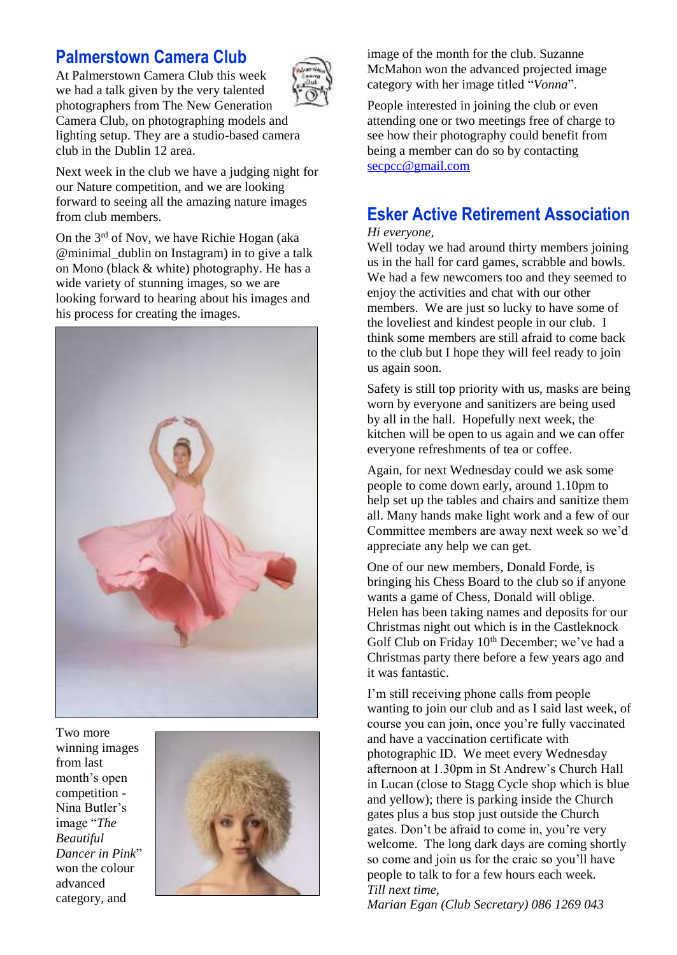### **Palmerstown Camera Club**

At Palmerstown Camera Club this week we had a talk given by the very talented photographers from The New Generation Camera Club, on photographing models and lighting setup. They are a studio-based camera club in the Dublin 12 area.



Next week in the club we have a judging night for our Nature competition, and we are looking forward to seeing all the amazing nature images from club members.

On the 3<sup>rd</sup> of Nov, we have Richie Hogan (aka @minimal\_dublin on Instagram) in to give a talk on Mono (black & white) photography. He has a wide variety of stunning images, so we are looking forward to hearing about his images and his process for creating the images.



Two more winning images from last month's open competition - Nina Butler's image "*The Beautiful Dancer in Pink*" won the colour advanced category, and



image of the month for the club. Suzanne McMahon won the advanced projected image category with her image titled "*Vonna*".

People interested in joining the club or even attending one or two meetings free of charge to see how their photography could benefit from being a member can do so by contacting [secpcc@gmail.com](mailto:secpcc@gmail.com)

### **Esker Active Retirement Association**

#### *Hi everyone,*

Well today we had around thirty members joining us in the hall for card games, scrabble and bowls. We had a few newcomers too and they seemed to enjoy the activities and chat with our other members. We are just so lucky to have some of the loveliest and kindest people in our club. I think some members are still afraid to come back to the club but I hope they will feel ready to join us again soon.

Safety is still top priority with us, masks are being worn by everyone and sanitizers are being used by all in the hall. Hopefully next week, the kitchen will be open to us again and we can offer everyone refreshments of tea or coffee.

Again, for next Wednesday could we ask some people to come down early, around 1.10pm to help set up the tables and chairs and sanitize them all. Many hands make light work and a few of our Committee members are away next week so we'd appreciate any help we can get.

One of our new members, Donald Forde, is bringing his Chess Board to the club so if anyone wants a game of Chess, Donald will oblige. Helen has been taking names and deposits for our Christmas night out which is in the Castleknock Golf Club on Friday  $10<sup>th</sup>$  December; we've had a Christmas party there before a few years ago and it was fantastic.

I'm still receiving phone calls from people wanting to join our club and as I said last week, of course you can join, once you're fully vaccinated and have a vaccination certificate with photographic ID. We meet every Wednesday afternoon at 1.30pm in St Andrew's Church Hall in Lucan (close to Stagg Cycle shop which is blue and yellow); there is parking inside the Church gates plus a bus stop just outside the Church gates. Don't be afraid to come in, you're very welcome. The long dark days are coming shortly so come and join us for the craic so you'll have people to talk to for a few hours each week. *Till next time,* 

*Marian Egan (Club Secretary) 086 1269 043*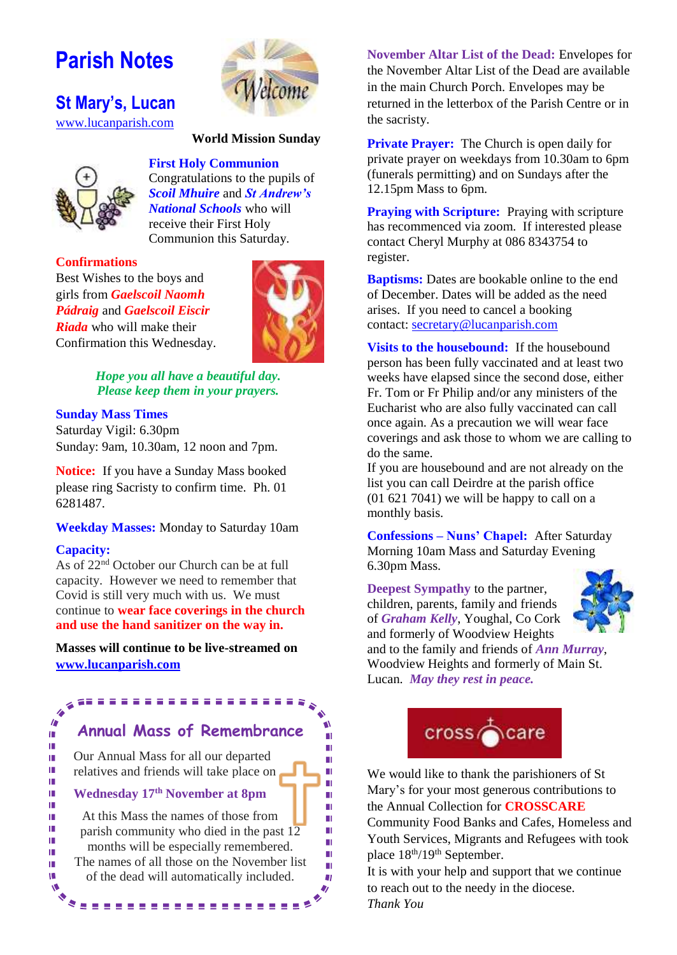# **Parish Notes**

**St Mary's, Lucan**  [www.lucanparish.com](http://www.lucanparish.com/)



#### **World Mission Sunday**



Congratulations to the pupils of *Scoil Mhuire* and *St Andrew's National Schools* who will receive their First Holy Communion this Saturday.

**First Holy Communion**

#### **Confirmations**

Best Wishes to the boys and girls from *Gaelscoil Naomh Pádraig* and *Gaelscoil Eiscir Riada* who will make their Confirmation this Wednesday.



ш

 $\blacksquare$ 

Ш

Ш

 $\blacksquare$ 

m

 $\blacksquare$ 

 $\blacksquare$ 

m

 $\mathbf{u}$ 

Ш

U)

*Hope you all have a beautiful day. Please keep them in your prayers.*

#### **Sunday Mass Times**

Saturday Vigil: 6.30pm Sunday: 9am, 10.30am, 12 noon and 7pm.

**Notice:** If you have a Sunday Mass booked please ring Sacristy to confirm time. Ph. 01 6281487.

#### **Weekday Masses:** Monday to Saturday 10am

#### **Capacity:**

♦ 4  $\overline{a}$ 

I. I. I.

I.

I.

I.

I.

I.

I.

I.

I.

I.

Ù.

Ŵ

Ó

As of 22nd October our Church can be at full capacity. However we need to remember that Covid is still very much with us. We must continue to **wear face coverings in the church and use the hand sanitizer on the way in.**

**Masses will continue to be live-streamed on [www.lucanparish.com](http://www.lucanparish.com/)**

## **Annual Mass of Remembrance**

Our Annual Mass for all our departed relatives and friends will take place on

#### **Wednesday 17th November at 8pm**

At this Mass the names of those from parish community who died in the past  $12$ months will be especially remembered. The names of all those on the November list of the dead will automatically included.

\*\*\*\*\*\*\*\*\*\*\*\*\*\*\*\*\*\*\*\*\*

**November Altar List of the Dead:** Envelopes for the November Altar List of the Dead are available in the main Church Porch. Envelopes may be returned in the letterbox of the Parish Centre or in the sacristy.

**Private Prayer:** The Church is open daily for private prayer on weekdays from 10.30am to 6pm (funerals permitting) and on Sundays after the 12.15pm Mass to 6pm.

**Praying with Scripture:** Praying with scripture has recommenced via zoom. If interested please contact Cheryl Murphy at 086 8343754 to register.

**Baptisms:** Dates are bookable online to the end of December. Dates will be added as the need arises. If you need to cancel a booking contact: [secretary@lucanparish.com](mailto:secretary@lucanparish.com?subject=Cancellation%20of%20Baptism%20Booking&body=Dear%20Secretary%2C%0AI%20wish%20to%20cancel%20the%20booking%20made%20for%20baby%3A%0Aon%20date%3A%0AThank%20You)

**Visits to the housebound:** If the housebound person has been fully vaccinated and at least two weeks have elapsed since the second dose, either Fr. Tom or Fr Philip and/or any ministers of the Eucharist who are also fully vaccinated can call once again. As a precaution we will wear face coverings and ask those to whom we are calling to do the same.

If you are housebound and are not already on the list you can call Deirdre at the parish office (01 621 7041) we will be happy to call on a monthly basis.

**Confessions – Nuns' Chapel:** After Saturday Morning 10am Mass and Saturday Evening 6.30pm Mass.

**Deepest Sympathy** to the partner, children, parents, family and friends of *Graham Kelly*, Youghal, Co Cork and formerly of Woodview Heights



and to the family and friends of *Ann Murray*, Woodview Heights and formerly of Main St. Lucan. *May they rest in peace.*



We would like to thank the parishioners of St Mary's for your most generous contributions to the Annual Collection for **CROSSCARE**

Community Food Banks and Cafes, Homeless and Youth Services, Migrants and Refugees with took place  $18^{th}/19^{th}$  September.

It is with your help and support that we continue to reach out to the needy in the diocese. *Thank You*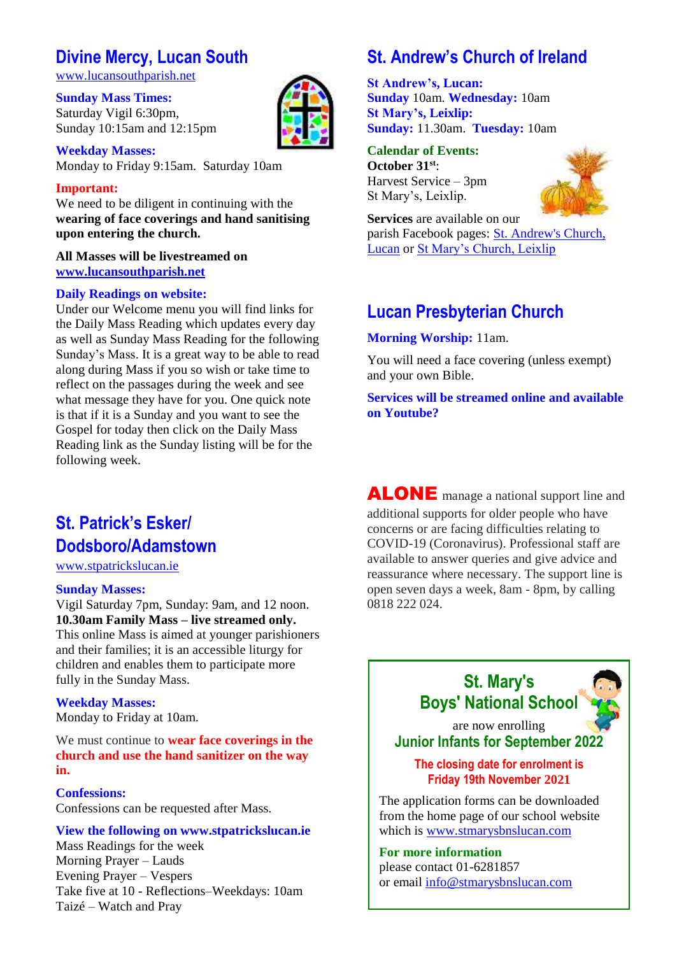### **Divine Mercy, Lucan South**

[www.lucansouthparish.net](http://www.lucansouthparish.net/)

**Sunday Mass Times:** Saturday Vigil 6:30pm, Sunday 10:15am and 12:15pm

**Weekday Masses:** Monday to Friday 9:15am. Saturday 10am

### **Important:**

We need to be diligent in continuing with the **wearing of face coverings and hand sanitising upon entering the church.**

### **All Masses will be livestreamed on [www.lucansouthparish.net](http://www.lucansouthparish.net/)**

#### **Daily Readings on website:**

Under our Welcome menu you will find links for the Daily Mass Reading which updates every day as well as Sunday Mass Reading for the following Sunday's Mass. It is a great way to be able to read along during Mass if you so wish or take time to reflect on the passages during the week and see what message they have for you. One quick note is that if it is a Sunday and you want to see the Gospel for today then click on the Daily Mass Reading link as the Sunday listing will be for the following week.

## **St. Patrick's Esker/ Dodsboro/Adamstown**

[www.stpatrickslucan.ie](http://www.stpatrickslucan.ie/)

#### **Sunday Masses:**

Vigil Saturday 7pm, Sunday: 9am, and 12 noon. **10.30am Family Mass – live streamed only.** This online Mass is aimed at younger parishioners and their families; it is an accessible liturgy for

children and enables them to participate more fully in the Sunday Mass.

### **Weekday Masses:**

Monday to Friday at 10am.

We must continue to **wear face coverings in the church and use the hand sanitizer on the way in.**

### **Confessions:**

Confessions can be requested after Mass.

### **View the following on www.stpatrickslucan.ie**

Mass Readings for the week Morning Prayer – Lauds Evening Prayer – Vespers Take five at 10 - Reflections–Weekdays: 10am Taizé – Watch and Pray

## **St. Andrew's Church of Ireland**

**St Andrew's, Lucan: Sunday** 10am. **Wednesday:** 10am **St Mary's, Leixlip: Sunday:** 11.30am. **Tuesday:** 10am

#### **Calendar of Events: October 31st**: Harvest Service – 3pm St Mary's, Leixlip.



**Services** are available on our parish Facebook pages: [St. Andrew's Church,](https://www.facebook.com/standrewslucan/)  [Lucan](https://www.facebook.com/standrewslucan/) or [St Mary's Church, Leixlip](https://www.facebook.com/stmarysleixlip/)

### **Lucan Presbyterian Church**

**Morning Worship:** 11am.

You will need a face covering (unless exempt) and your own Bible.

**Services will be streamed online and available on Youtube?**

ALONE manage a national support line and additional supports for older people who have concerns or are facing difficulties relating to COVID-19 (Coronavirus). Professional staff are available to answer queries and give advice and reassurance where necessary. The support line is open seven days a week, 8am - 8pm, by calling 0818 222 024.





are now enrolling **Junior Infants for September 2022**

**The closing date for enrolment is Friday 19th November 2021**

The application forms can be downloaded from the home page of our school website which is [www.stmarysbnslucan.com](http://www.stmarysbnslucan.com/)

**For more information**  please contact 01-6281857 or email [info@stmarysbnslucan.com](mailto:info@stmarysbnslucan.com)

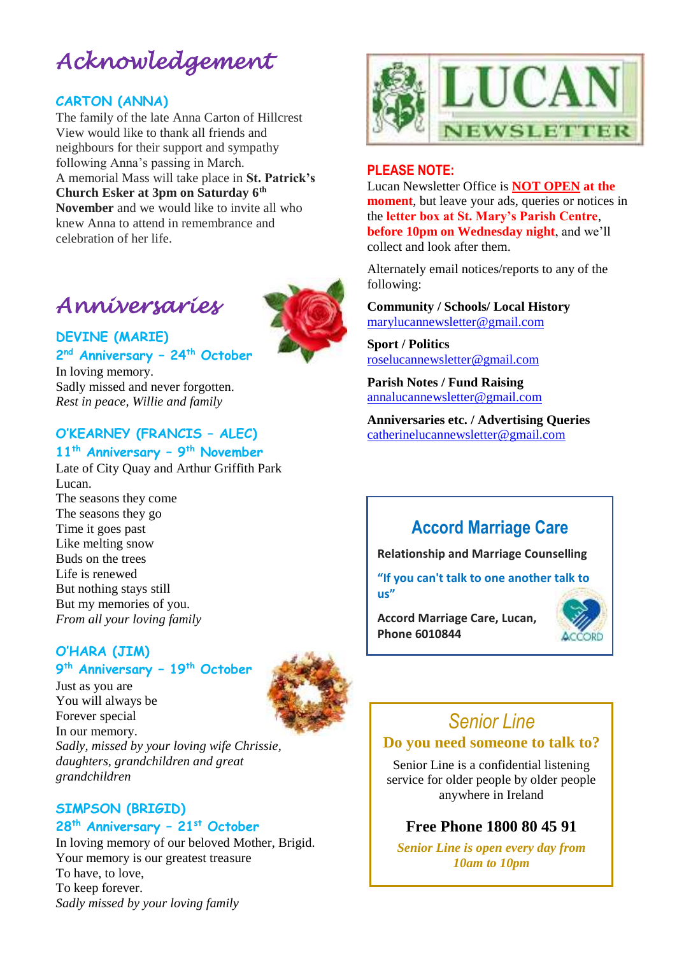# *Acknowledgement*

### **CARTON (ANNA)**

The family of the late Anna Carton of Hillcrest View would like to thank all friends and neighbours for their support and sympathy following Anna's passing in March. A memorial Mass will take place in **St. Patrick's Church Esker at 3pm on Saturday 6th November** and we would like to invite all who knew Anna to attend in remembrance and celebration of her life.

# *Anniversaries*



**DEVINE (MARIE) 2 nd Anniversary – 24th October**

In loving memory. Sadly missed and never forgotten. *Rest in peace, Willie and family*

### **O'KEARNEY (FRANCIS – ALEC)**

### **11th Anniversary – 9 th November**

Late of City Quay and Arthur Griffith Park Lucan. The seasons they come The seasons they go Time it goes past Like melting snow Buds on the trees Life is renewed But nothing stays still But my memories of you. *From all your loving family*

### **O'HARA (JIM)**

Just as you are

### **9 th Anniversary – 19th October**



You will always be Forever special In our memory. *Sadly, missed by your loving wife Chrissie, daughters, grandchildren and great grandchildren*

### **SIMPSON (BRIGID) 28th Anniversary – 21st October**

In loving memory of our beloved Mother, Brigid. Your memory is our greatest treasure To have, to love, To keep forever. *Sadly missed by your loving family*



### **PLEASE NOTE:**

Lucan Newsletter Office is **NOT OPEN at the moment**, but leave your ads, queries or notices in the **letter box at St. Mary's Parish Centre**, **before 10pm on Wednesday night**, and we'll collect and look after them.

Alternately email notices/reports to any of the following:

**Community / Schools/ Local History**  [marylucannewsletter@gmail.com](mailto:marylucannewsletter@gmail.com) 

**Sport / Politics** [roselucannewsletter@gmail.com](mailto:roselucannewsletter@gmail.com)

**Parish Notes / Fund Raising** [annalucannewsletter@gmail.com](mailto:annalucannewsletter@gmail.com)

**Anniversaries etc. / Advertising Queries**  [catherinelucannewsletter@gmail.com](mailto:catherinelucannewsletter@gmail.com)

## **Accord Marriage Care**

**Relationship and Marriage Counselling** 

**"If you can't talk to one another talk to us"**

**Accord Marriage Care, Lucan, Phone 6010844**



## *Senior Line*

### **Do you need someone to talk to?**

Senior Line is a confidential listening service for older people by older people anywhere in Ireland

### **Free Phone 1800 80 45 91**

*Senior Line is open every day from 10am to 10pm*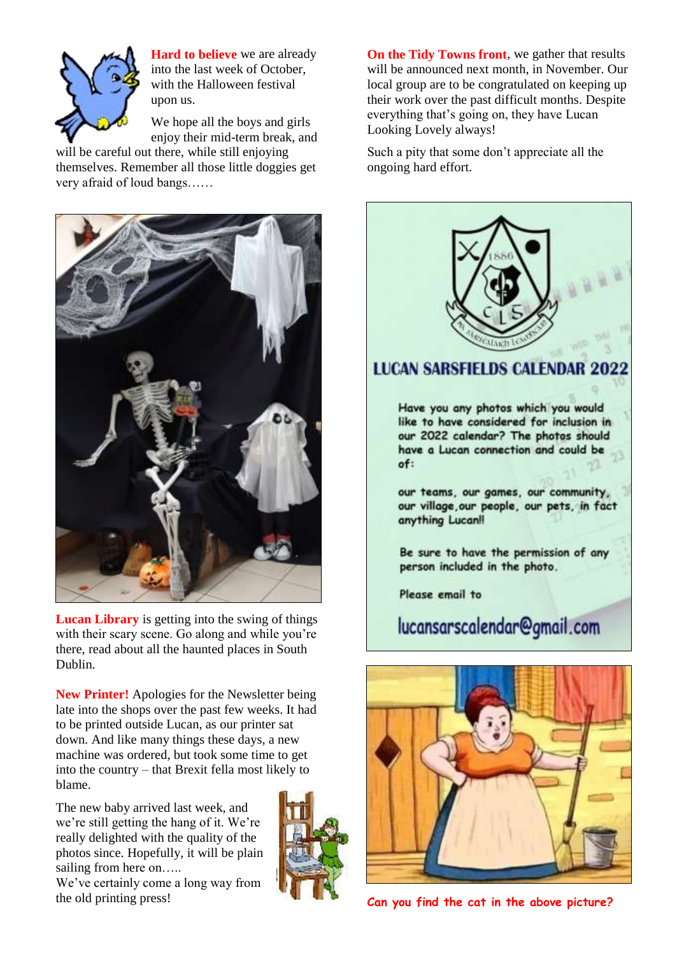

**Hard to believe** we are already into the last week of October, with the Halloween festival upon us.

We hope all the boys and girls enjoy their mid-term break, and

will be careful out there, while still enjoying themselves. Remember all those little doggies get very afraid of loud bangs……



**Lucan Library** is getting into the swing of things with their scary scene. Go along and while you're there, read about all the haunted places in South Dublin.

**New Printer!** Apologies for the Newsletter being late into the shops over the past few weeks. It had to be printed outside Lucan, as our printer sat down. And like many things these days, a new machine was ordered, but took some time to get into the country – that Brexit fella most likely to blame.

The new baby arrived last week, and we're still getting the hang of it. We're really delighted with the quality of the photos since. Hopefully, it will be plain sailing from here on.....

We've certainly come a long way from the old printing press!



**On the Tidy Towns front**, we gather that results will be announced next month, in November. Our local group are to be congratulated on keeping up their work over the past difficult months. Despite everything that's going on, they have Lucan Looking Lovely always!

Such a pity that some don't appreciate all the ongoing hard effort.



**Can you find the cat in the above picture?**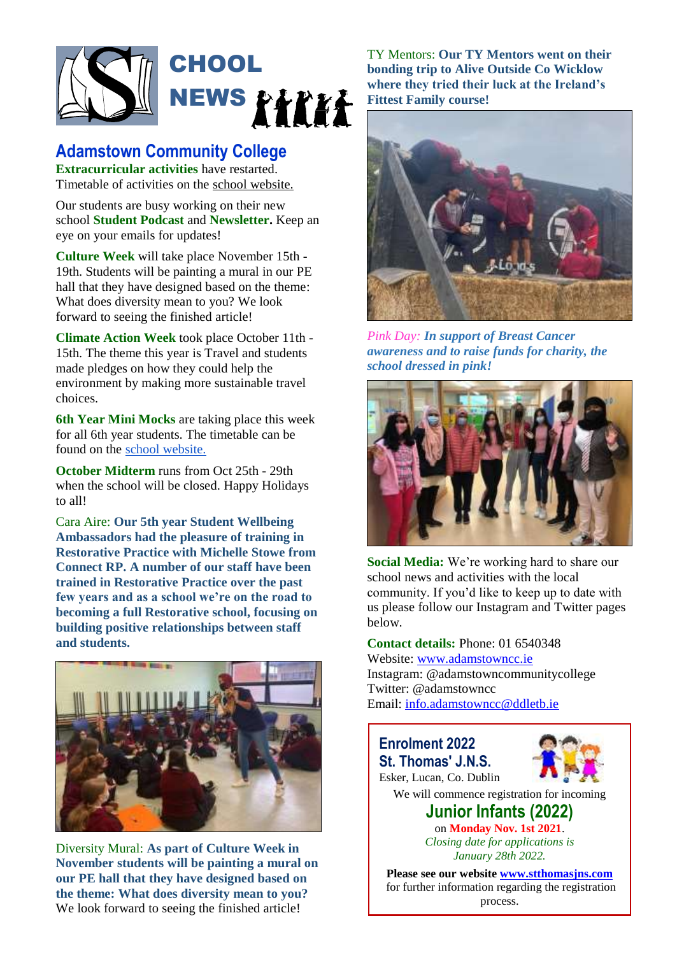

### **Adamstown Community College**

**Extracurricular activities** have restarted. Timetable of activities on th[e](http://adamstowncc.ie/Teaching-and-Learning/Extracurricular) [school website.](http://adamstowncc.ie/Teaching-and-Learning/Extracurricular)

Our students are busy working on their new school **Student Podcast** and **Newsletter.** Keep an eye on your emails for updates!

**Culture Week** will take place November 15th - 19th. Students will be painting a mural in our PE hall that they have designed based on the theme: What does diversity mean to you? We look forward to seeing the finished article!

**Climate Action Week** took place October 11th - 15th. The theme this year is Travel and students made pledges on how they could help the environment by making more sustainable travel choices.

**6th Year Mini Mocks** are taking place this week for all 6th year students. The timetable can be found on the [school website.](http://adamstowncc.ie/)

**October Midterm** runs from Oct 25th - 29th when the school will be closed. Happy Holidays to all!

Cara Aire: **Our 5th year Student Wellbeing Ambassadors had the pleasure of training in Restorative Practice with Michelle Stowe from Connect RP. A number of our staff have been trained in Restorative Practice over the past few years and as a school we're on the road to becoming a full Restorative school, focusing on building positive relationships between staff and students.** 



Diversity Mural: **As part of Culture Week in November students will be painting a mural on our PE hall that they have designed based on the theme: What does diversity mean to you?** We look forward to seeing the finished article!

TY Mentors: **Our TY Mentors went on their bonding trip to Alive Outside Co Wicklow where they tried their luck at the Ireland's Fittest Family course!**



*Pink Day: In support of Breast Cancer awareness and to raise funds for charity, the school dressed in pink!*



**Social Media:** We're working hard to share our school news and activities with the local community. If you'd like to keep up to date with us please follow our Instagram and Twitter pages below.

**Contact details:** Phone: 01 6540348 Website: [www.adamstowncc.ie](http://www.adamstowncc.ie/) Instagram: @adamstowncommunitycollege Twitter: @adamstowncc Email: [info.adamstowncc@ddletb.ie](mailto:info.adamstowncc@ddletb.ie)

### **Enrolment 2022 St. Thomas' J.N.S.** Esker, Lucan, Co. Dublin We will commence registration for incoming **Junior Infants (2022)** on **Monday Nov. 1st 2021**. *Closing date for applications is*

*January 28th 2022.*

**Please see our website [www.stthomasjns.com](http://www.stthomasjns.com/)** for further information regarding the registration process.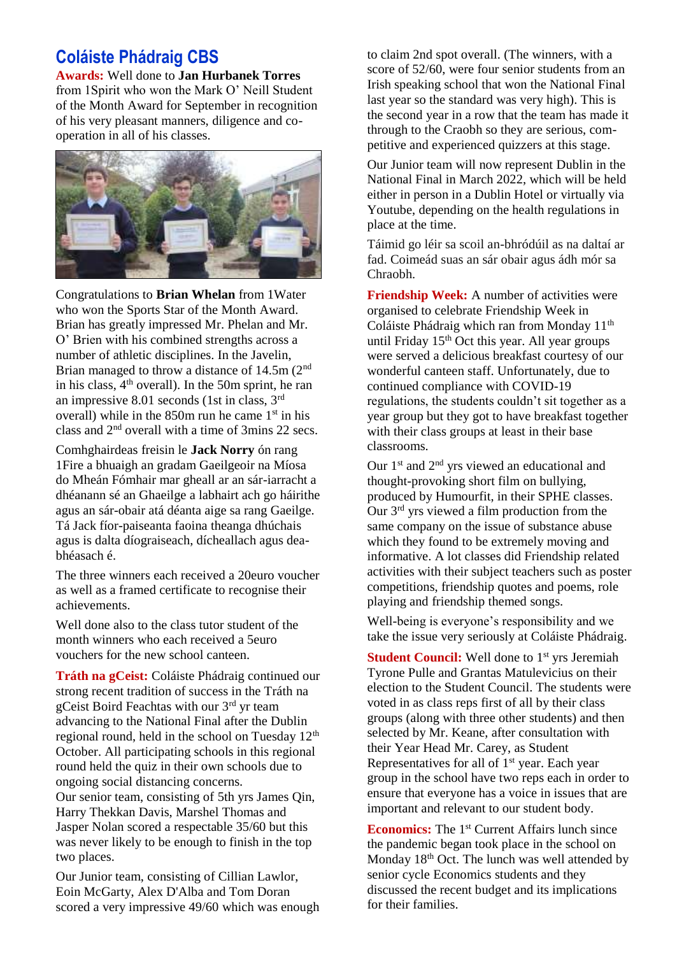### **Coláiste Phádraig CBS**

**Awards:** Well done to **Jan Hurbanek Torres**  from 1Spirit who won the Mark O' Neill Student of the Month Award for September in recognition of his very pleasant manners, diligence and cooperation in all of his classes.



Congratulations to **Brian Whelan** from 1Water who won the Sports Star of the Month Award. Brian has greatly impressed Mr. Phelan and Mr. O' Brien with his combined strengths across a number of athletic disciplines. In the Javelin, Brian managed to throw a distance of 14.5m (2<sup>nd</sup>) in his class,  $4<sup>th</sup>$  overall). In the 50m sprint, he ran an impressive 8.01 seconds (1st in class, 3rd overall) while in the  $850m$  run he came  $1<sup>st</sup>$  in his class and 2nd overall with a time of 3mins 22 secs.

Comhghairdeas freisin le **Jack Norry** ón rang 1Fire a bhuaigh an gradam Gaeilgeoir na Míosa do Mheán Fómhair mar gheall ar an sár-iarracht a dhéanann sé an Ghaeilge a labhairt ach go háirithe agus an sár-obair atá déanta aige sa rang Gaeilge. Tá Jack fíor-paiseanta faoina theanga dhúchais agus is dalta díograiseach, dícheallach agus deabhéasach é.

The three winners each received a 20euro voucher as well as a framed certificate to recognise their achievements.

Well done also to the class tutor student of the month winners who each received a 5euro vouchers for the new school canteen.

**Tráth na gCeist:** Coláiste Phádraig continued our strong recent tradition of success in the Tráth na gCeist Boird Feachtas with our 3<sup>rd</sup> yr team advancing to the National Final after the Dublin regional round, held in the school on Tuesday 12<sup>th</sup> October. All participating schools in this regional round held the quiz in their own schools due to ongoing social distancing concerns. Our senior team, consisting of 5th yrs James Qin, Harry Thekkan Davis, Marshel Thomas and Jasper Nolan scored a respectable 35/60 but this was never likely to be enough to finish in the top two places.

Our Junior team, consisting of Cillian Lawlor, Eoin McGarty, Alex D'Alba and Tom Doran scored a very impressive 49/60 which was enough

to claim 2nd spot overall. (The winners, with a score of 52/60, were four senior students from an Irish speaking school that won the National Final last year so the standard was very high). This is the second year in a row that the team has made it through to the Craobh so they are serious, competitive and experienced quizzers at this stage.

Our Junior team will now represent Dublin in the National Final in March 2022, which will be held either in person in a Dublin Hotel or virtually via Youtube, depending on the health regulations in place at the time.

Táimid go léir sa scoil an-bhródúil as na daltaí ar fad. Coimeád suas an sár obair agus ádh mór sa Chraobh.

**Friendship Week:** A number of activities were organised to celebrate Friendship Week in Coláiste Phádraig which ran from Monday 11<sup>th</sup> until Friday  $15<sup>th</sup>$  Oct this year. All year groups were served a delicious breakfast courtesy of our wonderful canteen staff. Unfortunately, due to continued compliance with COVID-19 regulations, the students couldn't sit together as a year group but they got to have breakfast together with their class groups at least in their base classrooms.

Our  $1<sup>st</sup>$  and  $2<sup>nd</sup>$  yrs viewed an educational and thought-provoking short film on bullying, produced by Humourfit, in their SPHE classes. Our 3rd yrs viewed a film production from the same company on the issue of substance abuse which they found to be extremely moving and informative. A lot classes did Friendship related activities with their subject teachers such as poster competitions, friendship quotes and poems, role playing and friendship themed songs.

Well-being is everyone's responsibility and we take the issue very seriously at Coláiste Phádraig.

**Student Council:** Well done to 1<sup>st</sup> yrs Jeremiah Tyrone Pulle and Grantas Matulevicius on their election to the Student Council. The students were voted in as class reps first of all by their class groups (along with three other students) and then selected by Mr. Keane, after consultation with their Year Head Mr. Carey, as Student Representatives for all of 1<sup>st</sup> year. Each year group in the school have two reps each in order to ensure that everyone has a voice in issues that are important and relevant to our student body.

**Economics:** The 1<sup>st</sup> Current Affairs lunch since the pandemic began took place in the school on Monday 18<sup>th</sup> Oct. The lunch was well attended by senior cycle Economics students and they discussed the recent budget and its implications for their families.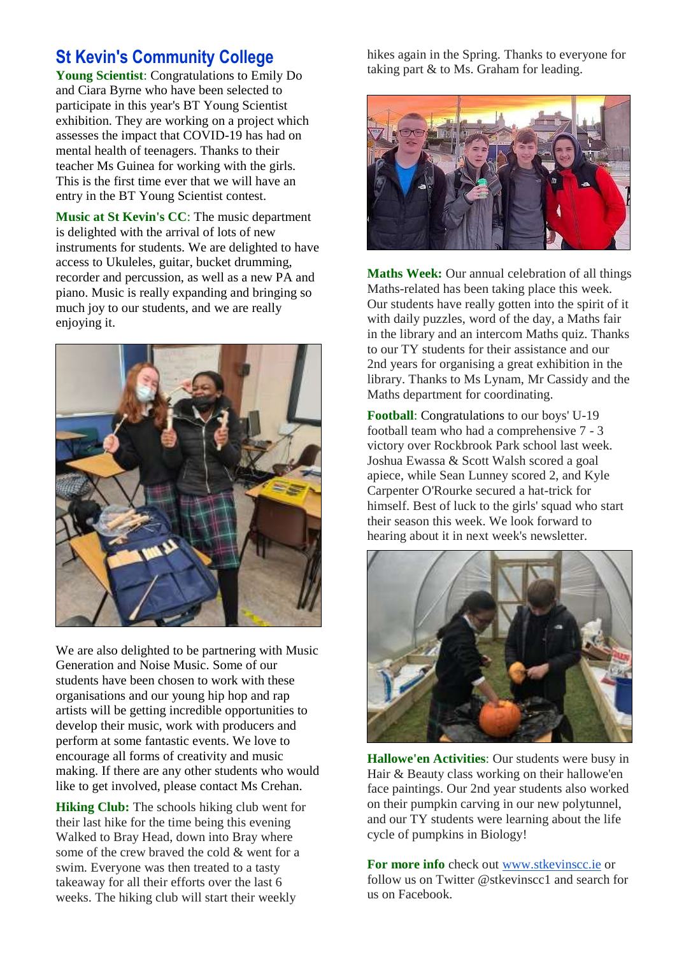### **St Kevin's Community College**

**Young Scientist**: Congratulations to Emily Do and Ciara Byrne who have been selected to participate in this year's BT Young Scientist exhibition. They are working on a project which assesses the impact that COVID-19 has had on mental health of teenagers. Thanks to their teacher Ms Guinea for working with the girls. This is the first time ever that we will have an entry in the BT Young Scientist contest.

**Music at St Kevin's CC**: The music department is delighted with the arrival of lots of new instruments for students. We are delighted to have access to Ukuleles, guitar, bucket drumming, recorder and percussion, as well as a new PA and piano. Music is really expanding and bringing so much joy to our students, and we are really enjoying it.



We are also delighted to be partnering with Music Generation and Noise Music. Some of our students have been chosen to work with these organisations and our young hip hop and rap artists will be getting incredible opportunities to develop their music, work with producers and perform at some fantastic events. We love to encourage all forms of creativity and music making. If there are any other students who would like to get involved, please contact Ms Crehan.

**Hiking Club:** The schools hiking club went for their last hike for the time being this evening Walked to Bray Head, down into Bray where some of the crew braved the cold & went for a swim. Everyone was then treated to a tasty takeaway for all their efforts over the last 6 weeks. The hiking club will start their weekly

hikes again in the Spring. Thanks to everyone for taking part & to Ms. Graham for leading.



**Maths Week:** Our annual celebration of all things Maths-related has been taking place this week. Our students have really gotten into the spirit of it with daily puzzles, word of the day, a Maths fair in the library and an intercom Maths quiz. Thanks to our TY students for their assistance and our 2nd years for organising a great exhibition in the library. Thanks to Ms Lynam, Mr Cassidy and the Maths department for coordinating.

**Football**: Congratulations to our boys' U-19 football team who had a comprehensive 7 - 3 victory over Rockbrook Park school last week. Joshua Ewassa & Scott Walsh scored a goal apiece, while Sean Lunney scored 2, and Kyle Carpenter O'Rourke secured a hat-trick for himself. Best of luck to the girls' squad who start their season this week. We look forward to hearing about it in next week's newsletter.



**Hallowe'en Activities**: Our students were busy in Hair & Beauty class working on their hallowe'en face paintings. Our 2nd year students also worked on their pumpkin carving in our new polytunnel, and our TY students were learning about the life cycle of pumpkins in Biology!

**For more info** check out [www.stkevinscc.ie](http://www.stkevinscc.ie/) or follow us on Twitter @stkevinscc1 and search for us on Facebook.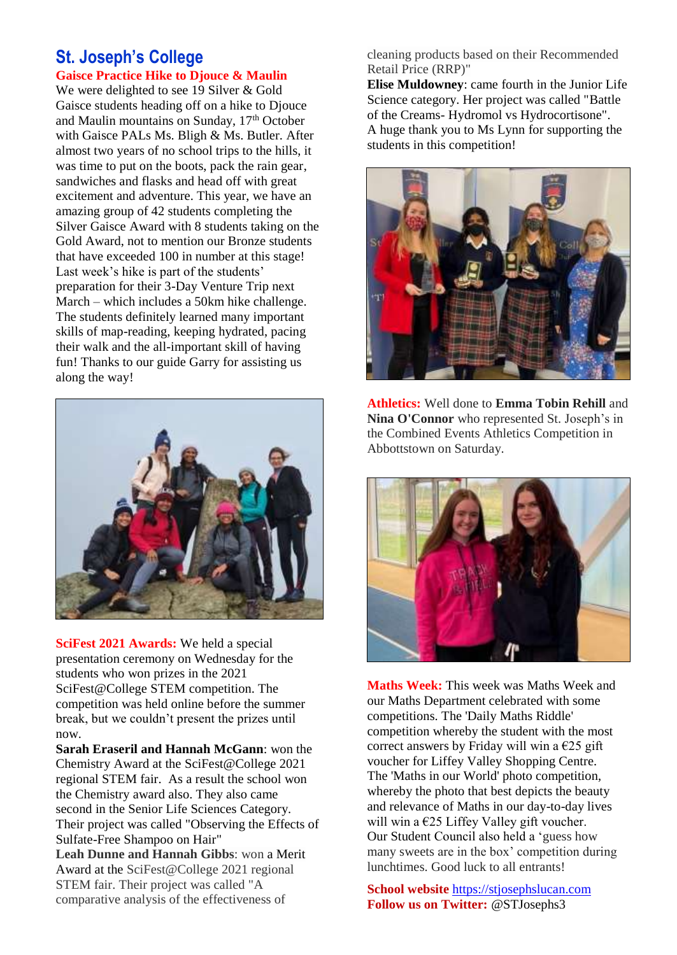### **St. Joseph's College Gaisce Practice Hike to Djouce & Maulin**

We were delighted to see 19 Silver & Gold Gaisce students heading off on a hike to Djouce and Maulin mountains on Sunday, 17<sup>th</sup> October with Gaisce PALs Ms. Bligh & Ms. Butler. After almost two years of no school trips to the hills, it was time to put on the boots, pack the rain gear, sandwiches and flasks and head off with great excitement and adventure. This year, we have an amazing group of 42 students completing the Silver Gaisce Award with 8 students taking on the Gold Award, not to mention our Bronze students that have exceeded 100 in number at this stage! Last week's hike is part of the students' preparation for their 3-Day Venture Trip next March – which includes a 50km hike challenge. The students definitely learned many important skills of map-reading, keeping hydrated, pacing their walk and the all-important skill of having fun! Thanks to our guide Garry for assisting us along the way!



**SciFest 2021 Awards:** We held a special presentation ceremony on Wednesday for the students who won prizes in the 2021 SciFest@College STEM competition. The competition was held online before the summer break, but we couldn't present the prizes until now.

**Sarah Eraseril and Hannah McGann**: won the Chemistry Award at the SciFest@College 2021 regional STEM fair. As a result the school won the Chemistry award also. They also came second in the Senior Life Sciences Category. Their project was called "Observing the Effects of Sulfate-Free Shampoo on Hair"

**Leah Dunne and Hannah Gibbs**: won a Merit Award at the SciFest@College 2021 regional STEM fair. Their project was called "A comparative analysis of the effectiveness of

cleaning products based on their Recommended Retail Price (RRP)"

**Elise Muldowney**: came fourth in the Junior Life Science category. Her project was called "Battle of the Creams- Hydromol vs Hydrocortisone". A huge thank you to Ms Lynn for supporting the students in this competition!



**Athletics:** Well done to **Emma Tobin Rehill** and **Nina O'Connor** who represented St. Joseph's in the Combined Events Athletics Competition in Abbottstown on Saturday.



**Maths Week:** This week was Maths Week and our Maths Department celebrated with some competitions. The 'Daily Maths Riddle' competition whereby the student with the most correct answers by Friday will win a  $\epsilon$ 25 gift voucher for Liffey Valley Shopping Centre. The 'Maths in our World' photo competition, whereby the photo that best depicts the beauty and relevance of Maths in our day-to-day lives will win a  $\epsilon$ 25 Liffey Valley gift voucher. Our Student Council also held a 'guess how many sweets are in the box' competition during lunchtimes. Good luck to all entrants!

**School website** [https://stjosephslucan.com](https://stjosephslucan.com/) **Follow us on Twitter:** @STJosephs3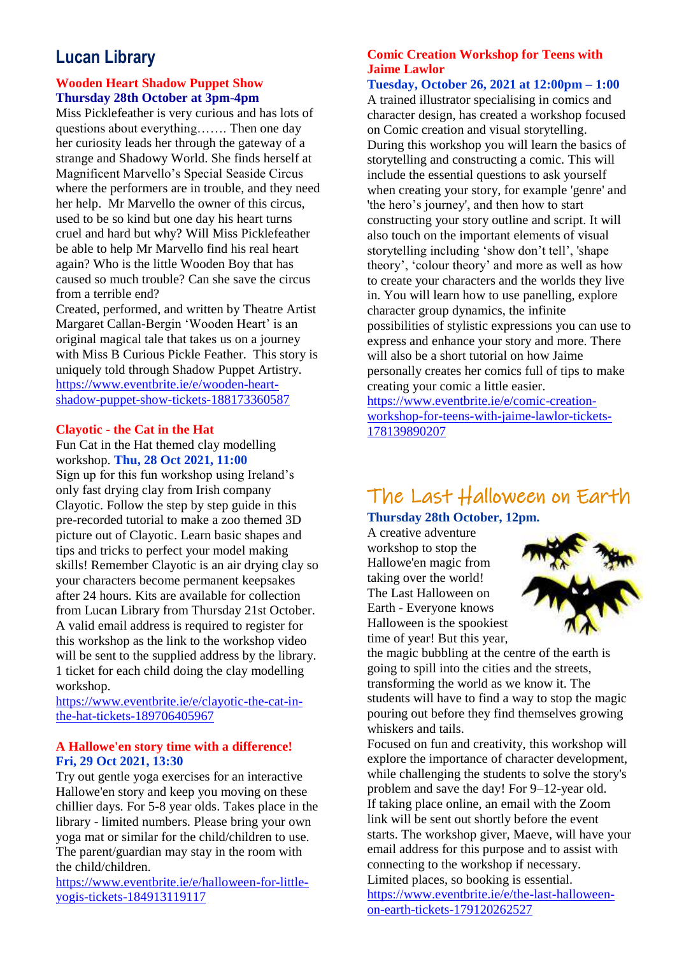### **Lucan Library**

### **Wooden Heart Shadow Puppet Show Thursday 28th October at 3pm-4pm**

Miss Picklefeather is very curious and has lots of questions about everything……. Then one day her curiosity leads her through the gateway of a strange and Shadowy World. She finds herself at Magnificent Marvello's Special Seaside Circus where the performers are in trouble, and they need her help. Mr Marvello the owner of this circus, used to be so kind but one day his heart turns cruel and hard but why? Will Miss Picklefeather be able to help Mr Marvello find his real heart again? Who is the little Wooden Boy that has caused so much trouble? Can she save the circus from a terrible end?

Created, performed, and written by Theatre Artist Margaret Callan-Bergin 'Wooden Heart' is an original magical tale that takes us on a journey with Miss B Curious Pickle Feather. This story is uniquely told through Shadow Puppet Artistry. [https://www.eventbrite.ie/e/wooden-heart](https://www.eventbrite.ie/e/wooden-heart-shadow-puppet-show-tickets-188173360587)[shadow-puppet-show-tickets-188173360587](https://www.eventbrite.ie/e/wooden-heart-shadow-puppet-show-tickets-188173360587)

#### **Clayotic - the Cat in the Hat**

Fun Cat in the Hat themed clay modelling workshop. **Thu, 28 Oct 2021, 11:00**

Sign up for this fun workshop using Ireland's only fast drying clay from Irish company Clayotic. Follow the step by step guide in this pre-recorded tutorial to make a zoo themed 3D picture out of Clayotic. Learn basic shapes and tips and tricks to perfect your model making skills! Remember Clayotic is an air drying clay so your characters become permanent keepsakes after 24 hours. Kits are available for collection from Lucan Library from Thursday 21st October. A valid email address is required to register for this workshop as the link to the workshop video will be sent to the supplied address by the library. 1 ticket for each child doing the clay modelling workshop.

[https://www.eventbrite.ie/e/clayotic-the-cat-in](https://www.eventbrite.ie/e/clayotic-the-cat-in-the-hat-tickets-189706405967)[the-hat-tickets-189706405967](https://www.eventbrite.ie/e/clayotic-the-cat-in-the-hat-tickets-189706405967)

### **A Hallowe'en story time with a difference! Fri, 29 Oct 2021, 13:30**

Try out gentle yoga exercises for an interactive Hallowe'en story and keep you moving on these chillier days. For 5-8 year olds. Takes place in the library - limited numbers. Please bring your own yoga mat or similar for the child/children to use. The parent/guardian may stay in the room with the child/children.

[https://www.eventbrite.ie/e/halloween-for-little](https://www.eventbrite.ie/e/halloween-for-little-yogis-tickets-184913119117)[yogis-tickets-184913119117](https://www.eventbrite.ie/e/halloween-for-little-yogis-tickets-184913119117)

### **Comic Creation Workshop for Teens with Jaime Lawlor**

### **Tuesday, October 26, 2021 at 12:00pm – 1:00**

A trained illustrator specialising in comics and character design, has created a workshop focused on Comic creation and visual storytelling. During this workshop you will learn the basics of storytelling and constructing a comic. This will include the essential questions to ask yourself when creating your story, for example 'genre' and 'the hero's journey', and then how to start constructing your story outline and script. It will also touch on the important elements of visual storytelling including 'show don't tell', 'shape theory', 'colour theory' and more as well as how to create your characters and the worlds they live in. You will learn how to use panelling, explore character group dynamics, the infinite possibilities of stylistic expressions you can use to express and enhance your story and more. There will also be a short tutorial on how Jaime personally creates her comics full of tips to make creating your comic a little easier.

[https://www.eventbrite.ie/e/comic-creation](https://www.eventbrite.ie/e/comic-creation-workshop-for-teens-with-jaime-lawlor-tickets-178139890207)[workshop-for-teens-with-jaime-lawlor-tickets-](https://www.eventbrite.ie/e/comic-creation-workshop-for-teens-with-jaime-lawlor-tickets-178139890207)[178139890207](https://www.eventbrite.ie/e/comic-creation-workshop-for-teens-with-jaime-lawlor-tickets-178139890207)

## The Last Halloween on Earth

**Thursday 28th October, 12pm.** 

A creative adventure workshop to stop the Hallowe'en magic from taking over the world! The Last Halloween on Earth - Everyone knows Halloween is the spookiest time of year! But this year,



the magic bubbling at the centre of the earth is going to spill into the cities and the streets, transforming the world as we know it. The students will have to find a way to stop the magic pouring out before they find themselves growing whiskers and tails.

Focused on fun and creativity, this workshop will explore the importance of character development, while challenging the students to solve the story's problem and save the day! For 9–12-year old. If taking place online, an email with the Zoom link will be sent out shortly before the event starts. The workshop giver, Maeve, will have your email address for this purpose and to assist with connecting to the workshop if necessary. Limited places, so booking is essential. [https://www.eventbrite.ie/e/the-last-halloween](https://www.eventbrite.ie/e/the-last-halloween-on-earth-tickets-179120262527)[on-earth-tickets-179120262527](https://www.eventbrite.ie/e/the-last-halloween-on-earth-tickets-179120262527)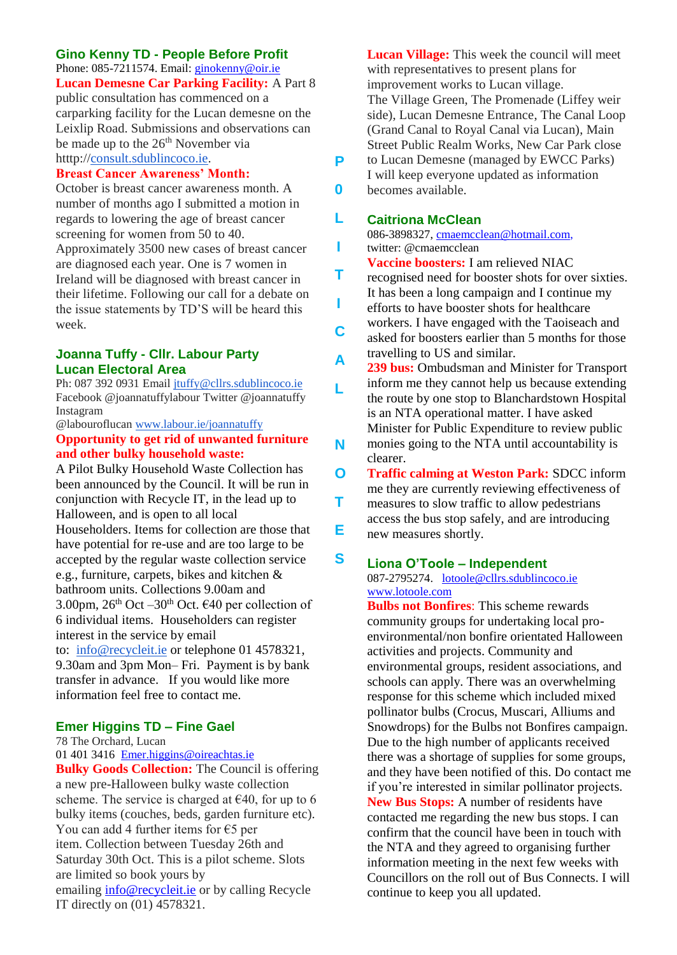### **Gino Kenny TD - People Before Profit**

Phone: 085-7211574. Email: [ginokenny@oir.ie](mailto:ginokenny@oir.ie) **Lucan Demesne Car Parking Facility:** A Part 8 public consultation has commenced on a carparking facility for the Lucan demesne on the Leixlip Road. Submissions and observations can be made up to the  $26<sup>th</sup>$  November via htttp:/[/consult.sdublincoco.ie.](http://consult.sdublincoco.ie/)

#### **Breast Cancer Awareness' Month:**

October is breast cancer awareness month. A number of months ago I submitted a motion in regards to lowering the age of breast cancer screening for women from 50 to 40. Approximately 3500 new cases of breast cancer are diagnosed each year. One is 7 women in Ireland will be diagnosed with breast cancer in their lifetime. Following our call for a debate on the issue statements by TD'S will be heard this week.

#### **Joanna Tuffy - Cllr. Labour Party Lucan Electoral Area**

Ph: 087 392 0931 Email [jtuffy@cllrs.sdublincoco.ie](mailto:jtuffy@cllrs.sdublincoco.ie) Facebook @joannatuffylabour Twitter @joannatuffy Instagram

@labouroflucan [www.labour.ie/joannatuffy](http://www.labour.ie/joannatuffy) **Opportunity to get rid of unwanted furniture and other bulky household waste:**

A Pilot Bulky Household Waste Collection has been announced by the Council. It will be run in conjunction with Recycle IT, in the lead up to Halloween, and is open to all local Householders. Items for collection are those that have potential for re-use and are too large to be accepted by the regular waste collection service e.g., furniture, carpets, bikes and kitchen & bathroom units. Collections 9.00am and 3.00pm,  $26<sup>th</sup>$  Oct –30<sup>th</sup> Oct.  $640$  per collection of 6 individual items. Householders can register

interest in the service by email to: [info@recycleit.ie](mailto:info@recycleit.ie) or telephone 01 4578321, 9.30am and 3pm Mon– Fri. Payment is by bank transfer in advance. If you would like more information feel free to contact me.

### **Emer Higgins TD – Fine Gael**

78 The Orchard, Lucan

[01 401 3416](tel:014013416) [Emer.higgins@oireachtas.ie](mailto:Emer.higgins@oireachtas.ie)

**Bulky Goods Collection:** The Council is offering a new pre-Halloween bulky waste collection scheme. The service is charged at  $\epsilon$ 40, for up to 6 bulky items (couches, beds, garden furniture etc). You can add 4 further items for  $\epsilon$ 5 per item. Collection between Tuesday 26th and Saturday 30th Oct. This is a pilot scheme. Slots are limited so book yours by emailing *[info@recycleit.ie](mailto:info@recycleit.ie)* or by calling Recycle IT directly on (01) 4578321.

**Lucan Village:** This week the council will meet with representatives to present plans for improvement works to Lucan village. The Village Green, The Promenade (Liffey weir side), Lucan Demesne Entrance, The Canal Loop (Grand Canal to Royal Canal via Lucan), Main Street Public Realm Works, New Car Park close to Lucan Demesne (managed by EWCC Parks) I will keep everyone updated as information becomes available.

#### **Caitriona McClean L**

**P**

**0**

**I**

**T**

**I**

086-3898327, [cmaemcclean@hotmail.com,](mailto:cmaemcclean@hotmail.com) twitter: @cmaemcclean

**Vaccine boosters:** I am relieved NIAC

recognised need for booster shots for over sixties. It has been a long campaign and I continue my efforts to have booster shots for healthcare workers. I have engaged with the Taoiseach and asked for boosters earlier than 5 months for those travelling to US and similar. **C**

- **239 bus:** Ombudsman and Minister for Transport inform me they cannot help us because extending the route by one stop to Blanchardstown Hospital is an NTA operational matter. I have asked Minister for Public Expenditure to review public monies going to the NTA until accountability is clearer. **A L N**
- **Traffic calming at Weston Park:** SDCC inform me they are currently reviewing effectiveness of measures to slow traffic to allow pedestrians access the bus stop safely, and are introducing new measures shortly. **O T E**

#### **Liona O'Toole – Independent S**

087-2795274. [lotoole@cllrs.sdublincoco.ie](mailto:lotoole@cllrs.sdublincoco.ie) [www.lotoole.com](http://www.lotoole.com/)

**Bulbs not Bonfires**: This scheme rewards community groups for undertaking local proenvironmental/non bonfire orientated Halloween activities and projects. Community and environmental groups, resident associations, and schools can apply. There was an overwhelming response for this scheme which included mixed pollinator bulbs (Crocus, Muscari, Alliums and Snowdrops) for the Bulbs not Bonfires campaign. Due to the high number of applicants received there was a shortage of supplies for some groups, and they have been notified of this. Do contact me if you're interested in similar pollinator projects. **New Bus Stops:** A number of residents have contacted me regarding the new bus stops. I can confirm that the council have been in touch with the NTA and they agreed to organising further information meeting in the next few weeks with Councillors on the roll out of Bus Connects. I will continue to keep you all updated.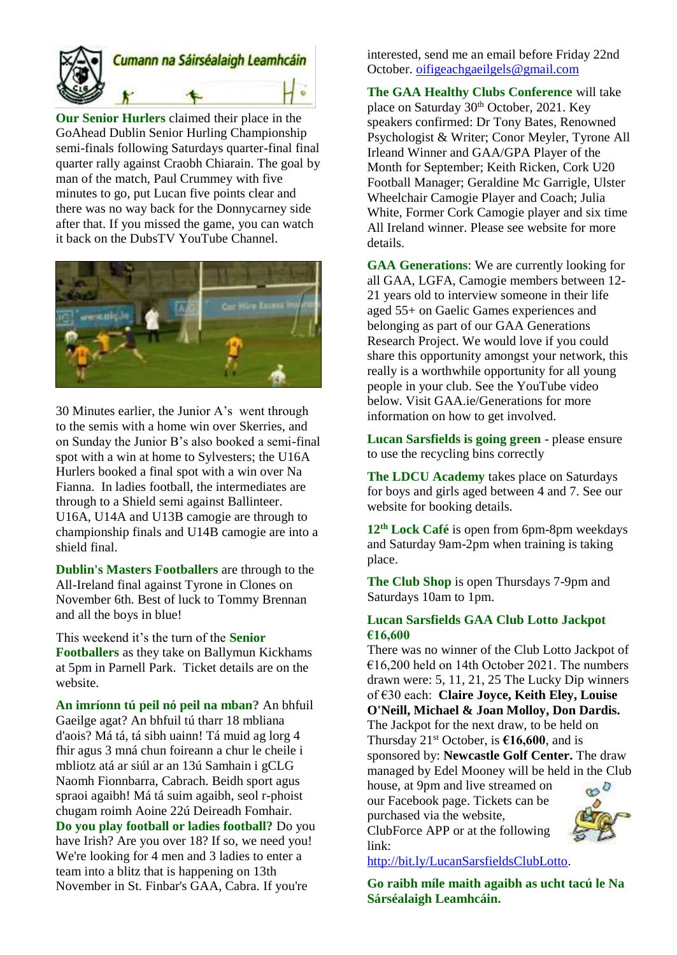

**Our Senior Hurlers** claimed their place in the GoAhead Dublin Senior Hurling Championship semi-finals following Saturdays quarter-final final quarter rally against Craobh Chiarain. The goal by man of the match, Paul Crummey with five minutes to go, put Lucan five points clear and there was no way back for the Donnycarney side after that. If you missed the game, you can watch it back on the DubsTV YouTube Channel.



30 Minutes earlier, the Junior A's went through to the semis with a home win over Skerries, and on Sunday the Junior B's also booked a semi-final spot with a win at home to Sylvesters; the U16A Hurlers booked a final spot with a win over Na Fianna. In ladies football, the intermediates are through to a Shield semi against Ballinteer. U16A, U14A and U13B camogie are through to championship finals and U14B camogie are into a shield final.

**Dublin's Masters Footballers** are through to the All-Ireland final against Tyrone in Clones on November 6th. Best of luck to Tommy Brennan and all the boys in blue!

This weekend it's the turn of the **Senior Footballers** as they take on Ballymun Kickhams at 5pm in Parnell Park. Ticket details are on the website.

**An imríonn tú peil nó peil na mban?** An bhfuil Gaeilge agat? An bhfuil tú tharr 18 mbliana d'aois? Má tá, tá sibh uainn! Tá muid ag lorg 4 fhir agus 3 mná chun foireann a chur le cheile i mbliotz atá ar siúl ar an 13ú Samhain i gCLG Naomh Fionnbarra, Cabrach. Beidh sport agus spraoi agaibh! Má tá suim agaibh, seol r-phoist chugam roimh Aoine 22ú Deireadh Fomhair. **Do you play football or ladies football?** Do you have Irish? Are you over 18? If so, we need you! We're looking for 4 men and 3 ladies to enter a team into a blitz that is happening on 13th November in St. Finbar's GAA, Cabra. If you're

interested, send me an email before Friday 22nd October. [oifigeachgaeilgels@gmail.com](mailto:oifigeachgaeilgels@gmail.com)

**The GAA Healthy Clubs Conference** will take place on Saturday 30<sup>th</sup> October, 2021. Key speakers confirmed: Dr Tony Bates, Renowned Psychologist & Writer; Conor Meyler, Tyrone All Irleand Winner and GAA/GPA Player of the Month for September; Keith Ricken, Cork U20 Football Manager; Geraldine Mc Garrigle, Ulster Wheelchair Camogie Player and Coach; Julia White, Former Cork Camogie player and six time All Ireland winner. Please see website for more details.

**GAA Generations**: We are currently looking for all GAA, LGFA, Camogie members between 12- 21 years old to interview someone in their life aged 55+ on Gaelic Games experiences and belonging as part of our GAA Generations Research Project. We would love if you could share this opportunity amongst your network, this really is a worthwhile opportunity for all young people in your club. See the YouTube video below. Visit GAA.ie/Generations for more information on how to get involved.

**Lucan Sarsfields is going green** - please ensure to use the recycling bins correctly

**The LDCU Academy** takes place on Saturdays for boys and girls aged between 4 and 7. See our website for booking details.

**12th Lock Café** is open from 6pm-8pm weekdays and Saturday 9am-2pm when training is taking place.

**The Club Shop** is open Thursdays 7-9pm and Saturdays 10am to 1pm.

### **Lucan Sarsfields GAA Club Lotto Jackpot €16,600**

There was no winner of the Club Lotto Jackpot of €16,200 held on 14th October 2021. The numbers drawn were: 5, 11, 21, 25 The Lucky Dip winners of €30 each: **Claire Joyce, Keith Eley, Louise O'Neill, Michael & Joan Molloy, Don Dardis.**  The Jackpot for the next draw, to be held on Thursday  $21^{st}$  October, is  $\epsilon$ 16,600, and is sponsored by: **Newcastle Golf Center.** The draw managed by Edel Mooney will be held in the Club house, at 9pm and live streamed on  $\infty$ our Facebook page. Tickets can be purchased via the website, ClubForce APP or at the following link:

[http://bit.ly/LucanSarsfieldsClubLotto.](http://bit.ly/LucanSarsfieldsClubLotto)

**Go raibh míle maith agaibh as ucht tacú le Na Sárséalaigh Leamhcáin.**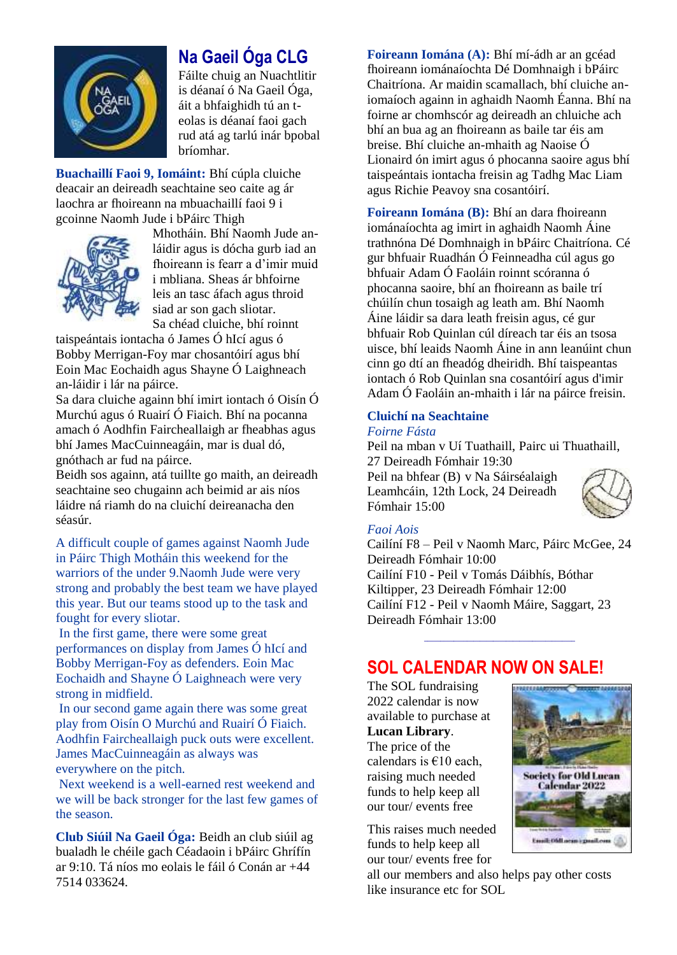

## **Na Gaeil Óga CLG**

Fáilte chuig an Nuachtlitir is déanaí ó Na Gaeil Óga, áit a bhfaighidh tú an teolas is déanaí faoi gach rud atá ag tarlú inár bpobal bríomhar.

**Buachaillí Faoi 9, Iomáint:** Bhí cúpla cluiche deacair an deireadh seachtaine seo caite ag ár laochra ar fhoireann na mbuachaillí faoi 9 i gcoinne Naomh Jude i bPáirc Thigh



Mhotháin. Bhí Naomh Jude anláidir agus is dócha gurb iad an fhoireann is fearr a d'imir muid i mbliana. Sheas ár bhfoirne leis an tasc áfach agus throid siad ar son gach sliotar. Sa chéad cluiche, bhí roinnt

taispeántais iontacha ó James Ó hIcí agus ó Bobby Merrigan-Foy mar chosantóirí agus bhí Eoin Mac Eochaidh agus Shayne Ó Laighneach an-láidir i lár na páirce.

Sa dara cluiche againn bhí imirt iontach ó Oisín Ó Murchú agus ó Ruairí Ó Fiaich. Bhí na pocanna amach ó Aodhfin Faircheallaigh ar fheabhas agus bhí James MacCuinneagáin, mar is dual dó, gnóthach ar fud na páirce.

Beidh sos againn, atá tuillte go maith, an deireadh seachtaine seo chugainn ach beimid ar ais níos láidre ná riamh do na cluichí deireanacha den séasúr.

A difficult couple of games against Naomh Jude in Páirc Thigh Motháin this weekend for the warriors of the under 9.Naomh Jude were very strong and probably the best team we have played this year. But our teams stood up to the task and fought for every sliotar.

In the first game, there were some great performances on display from James Ó hIcí and Bobby Merrigan-Foy as defenders. Eoin Mac Eochaidh and Shayne Ó Laighneach were very strong in midfield.

In our second game again there was some great play from Oisín O Murchú and Ruairí Ó Fiaich. Aodhfin Faircheallaigh puck outs were excellent. James MacCuinneagáin as always was everywhere on the pitch.

Next weekend is a well-earned rest weekend and we will be back stronger for the last few games of the season.

**Club Siúil Na Gaeil Óga:** Beidh an club siúil ag bualadh le chéile gach Céadaoin i bPáirc Ghrífín ar 9:10. Tá níos mo eolais le fáil ó Conán ar +44 7514 033624.

**Foireann Iomána (A):** Bhí mí-ádh ar an gcéad fhoireann iománaíochta Dé Domhnaigh i bPáirc Chaitríona. Ar maidin scamallach, bhí cluiche aniomaíoch againn in aghaidh Naomh Éanna. Bhí na foirne ar chomhscór ag deireadh an chluiche ach bhí an bua ag an fhoireann as baile tar éis am breise. Bhí cluiche an-mhaith ag Naoise Ó Lionaird ón imirt agus ó phocanna saoire agus bhí taispeántais iontacha freisin ag Tadhg Mac Liam agus Richie Peavoy sna cosantóirí.

**Foireann Iomána (B):** Bhí an dara fhoireann iománaíochta ag imirt in aghaidh Naomh Áine trathnóna Dé Domhnaigh in bPáirc Chaitríona. Cé gur bhfuair Ruadhán Ó Feinneadha cúl agus go bhfuair Adam Ó Faoláin roinnt scóranna ó phocanna saoire, bhí an fhoireann as baile trí chúilín chun tosaigh ag leath am. Bhí Naomh Áine láidir sa dara leath freisin agus, cé gur bhfuair Rob Quinlan cúl díreach tar éis an tsosa uisce, bhí leaids Naomh Áine in ann leanúint chun cinn go dtí an fheadóg dheiridh. Bhí taispeantas iontach ó Rob Quinlan sna cosantóirí agus d'imir Adam Ó Faoláin an-mhaith i lár na páirce freisin.

### **Cluichí na Seachtaine**

### *Foirne Fásta*

Peil na mban v Uí Tuathaill, Pairc ui Thuathaill, 27 Deireadh Fómhair 19:30 Peil na bhfear (B) v Na Sáirséalaigh Leamhcáin, 12th Lock, 24 Deireadh Fómhair 15:00



### *Faoi Aois*

Cailíní F8 – Peil v Naomh Marc, Páirc McGee, 24 Deireadh Fómhair 10:00 Cailíní F10 - Peil v Tomás Dáibhís, Bóthar Kiltipper, 23 Deireadh Fómhair 12:00 Cailíní F12 - Peil v Naomh Máire, Saggart, 23 Deireadh Fómhair 13:00

**\_\_\_\_\_\_\_\_\_\_\_\_\_\_\_\_\_\_\_\_\_\_\_\_\_\_\_\_\_\_\_\_\_\_\_\_\_\_\_\_\_\_\_\_\_\_**

### **SOL CALENDAR NOW ON SALE!**

The SOL fundraising 2022 calendar is now available to purchase at **Lucan Library**. The price of the calendars is  $€10$  each, raising much needed funds to help keep all our tour/ events free

This raises much needed funds to help keep all our tour/ events free for

all our members and also helps pay other costs like insurance etc for SOL